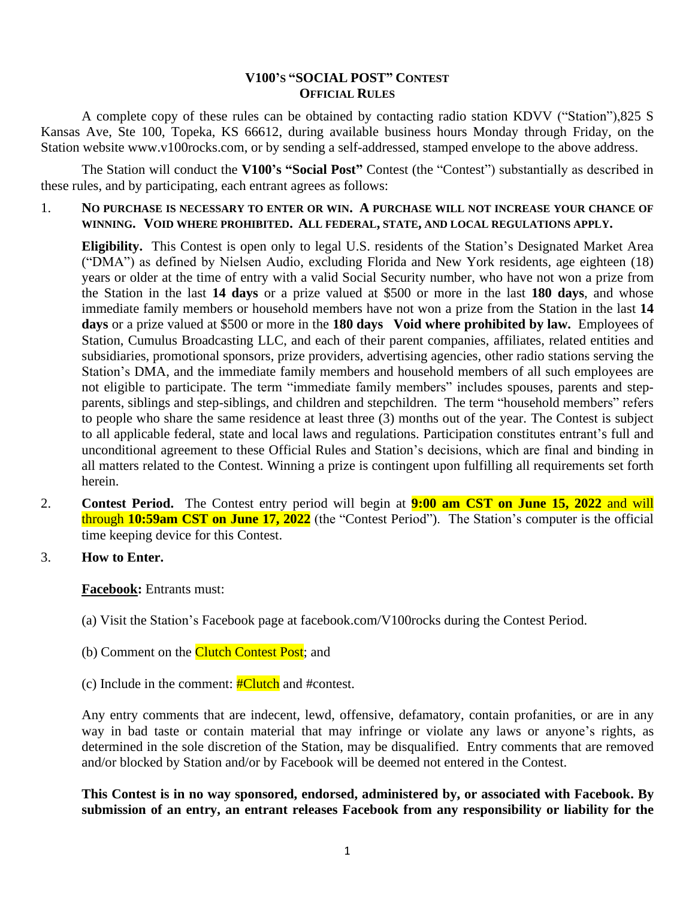### **V100'S "SOCIAL POST" CONTEST OFFICIAL RULES**

A complete copy of these rules can be obtained by contacting radio station KDVV ("Station"),825 S Kansas Ave, Ste 100, Topeka, KS 66612, during available business hours Monday through Friday, on the Station website www.v100rocks.com, or by sending a self-addressed, stamped envelope to the above address.

The Station will conduct the **V100's "Social Post"** Contest (the "Contest") substantially as described in these rules, and by participating, each entrant agrees as follows:

1. **NO PURCHASE IS NECESSARY TO ENTER OR WIN. A PURCHASE WILL NOT INCREASE YOUR CHANCE OF WINNING. VOID WHERE PROHIBITED. ALL FEDERAL, STATE, AND LOCAL REGULATIONS APPLY.**

**Eligibility.** This Contest is open only to legal U.S. residents of the Station's Designated Market Area ("DMA") as defined by Nielsen Audio, excluding Florida and New York residents, age eighteen (18) years or older at the time of entry with a valid Social Security number, who have not won a prize from the Station in the last **14 days** or a prize valued at \$500 or more in the last **180 days**, and whose immediate family members or household members have not won a prize from the Station in the last **14 days** or a prize valued at \$500 or more in the **180 days Void where prohibited by law.** Employees of Station, Cumulus Broadcasting LLC, and each of their parent companies, affiliates, related entities and subsidiaries, promotional sponsors, prize providers, advertising agencies, other radio stations serving the Station's DMA, and the immediate family members and household members of all such employees are not eligible to participate. The term "immediate family members" includes spouses, parents and stepparents, siblings and step-siblings, and children and stepchildren. The term "household members" refers to people who share the same residence at least three (3) months out of the year. The Contest is subject to all applicable federal, state and local laws and regulations. Participation constitutes entrant's full and unconditional agreement to these Official Rules and Station's decisions, which are final and binding in all matters related to the Contest. Winning a prize is contingent upon fulfilling all requirements set forth herein.

- 2. **Contest Period.** The Contest entry period will begin at **9:00 am CST on June 15, 2022** and will through **10:59am CST on June 17, 2022** (the "Contest Period"). The Station's computer is the official time keeping device for this Contest.
- 3. **How to Enter.**

#### **Facebook:** Entrants must:

- (a) Visit the Station's Facebook page at facebook.com/V100rocks during the Contest Period.
- (b) Comment on the Clutch Contest Post; and
- (c) Include in the comment:  $\#$ Clutch and #contest.

Any entry comments that are indecent, lewd, offensive, defamatory, contain profanities, or are in any way in bad taste or contain material that may infringe or violate any laws or anyone's rights, as determined in the sole discretion of the Station, may be disqualified. Entry comments that are removed and/or blocked by Station and/or by Facebook will be deemed not entered in the Contest.

## **This Contest is in no way sponsored, endorsed, administered by, or associated with Facebook. By submission of an entry, an entrant releases Facebook from any responsibility or liability for the**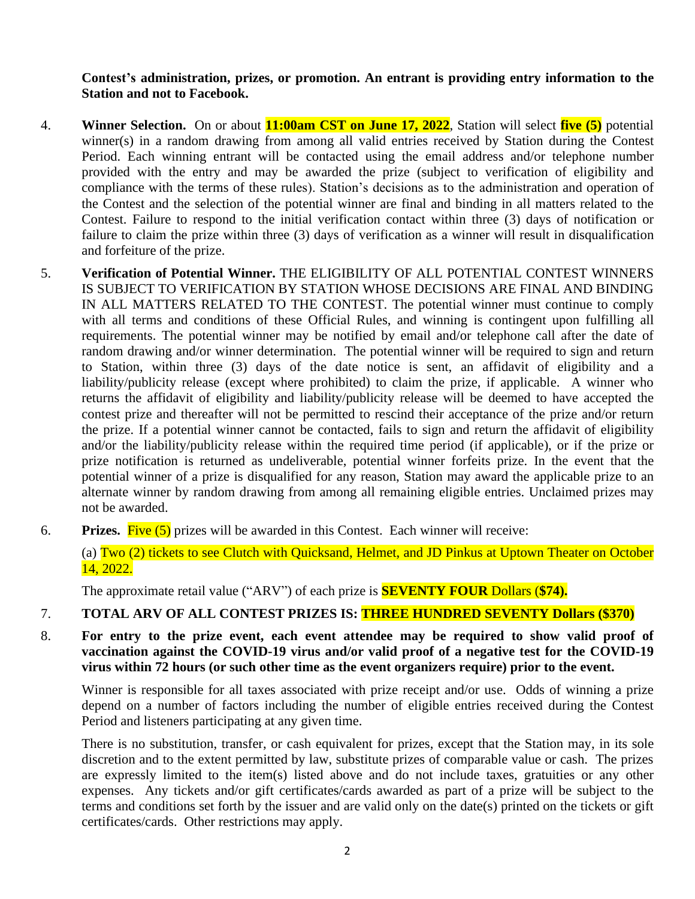**Contest's administration, prizes, or promotion. An entrant is providing entry information to the Station and not to Facebook.** 

- 4. **Winner Selection.** On or about **11:00am CST on June 17, 2022**, Station will select **five (5)** potential winner(s) in a random drawing from among all valid entries received by Station during the Contest Period. Each winning entrant will be contacted using the email address and/or telephone number provided with the entry and may be awarded the prize (subject to verification of eligibility and compliance with the terms of these rules). Station's decisions as to the administration and operation of the Contest and the selection of the potential winner are final and binding in all matters related to the Contest. Failure to respond to the initial verification contact within three (3) days of notification or failure to claim the prize within three (3) days of verification as a winner will result in disqualification and forfeiture of the prize.
- 5. **Verification of Potential Winner.** THE ELIGIBILITY OF ALL POTENTIAL CONTEST WINNERS IS SUBJECT TO VERIFICATION BY STATION WHOSE DECISIONS ARE FINAL AND BINDING IN ALL MATTERS RELATED TO THE CONTEST. The potential winner must continue to comply with all terms and conditions of these Official Rules, and winning is contingent upon fulfilling all requirements. The potential winner may be notified by email and/or telephone call after the date of random drawing and/or winner determination. The potential winner will be required to sign and return to Station, within three (3) days of the date notice is sent, an affidavit of eligibility and a liability/publicity release (except where prohibited) to claim the prize, if applicable. A winner who returns the affidavit of eligibility and liability/publicity release will be deemed to have accepted the contest prize and thereafter will not be permitted to rescind their acceptance of the prize and/or return the prize. If a potential winner cannot be contacted, fails to sign and return the affidavit of eligibility and/or the liability/publicity release within the required time period (if applicable), or if the prize or prize notification is returned as undeliverable, potential winner forfeits prize. In the event that the potential winner of a prize is disqualified for any reason, Station may award the applicable prize to an alternate winner by random drawing from among all remaining eligible entries. Unclaimed prizes may not be awarded.
- 6. **Prizes.** Five (5) prizes will be awarded in this Contest. Each winner will receive:

(a) Two (2) tickets to see Clutch with Quicksand, Helmet, and JD Pinkus at Uptown Theater on October 14, 2022.

The approximate retail value ("ARV") of each prize is **SEVENTY FOUR** Dollars (**\$74).** 

## 7. **TOTAL ARV OF ALL CONTEST PRIZES IS: THREE HUNDRED SEVENTY Dollars (\$370)**

8. **For entry to the prize event, each event attendee may be required to show valid proof of vaccination against the COVID-19 virus and/or valid proof of a negative test for the COVID-19 virus within 72 hours (or such other time as the event organizers require) prior to the event.**

Winner is responsible for all taxes associated with prize receipt and/or use. Odds of winning a prize depend on a number of factors including the number of eligible entries received during the Contest Period and listeners participating at any given time.

There is no substitution, transfer, or cash equivalent for prizes, except that the Station may, in its sole discretion and to the extent permitted by law, substitute prizes of comparable value or cash. The prizes are expressly limited to the item(s) listed above and do not include taxes, gratuities or any other expenses. Any tickets and/or gift certificates/cards awarded as part of a prize will be subject to the terms and conditions set forth by the issuer and are valid only on the date(s) printed on the tickets or gift certificates/cards. Other restrictions may apply.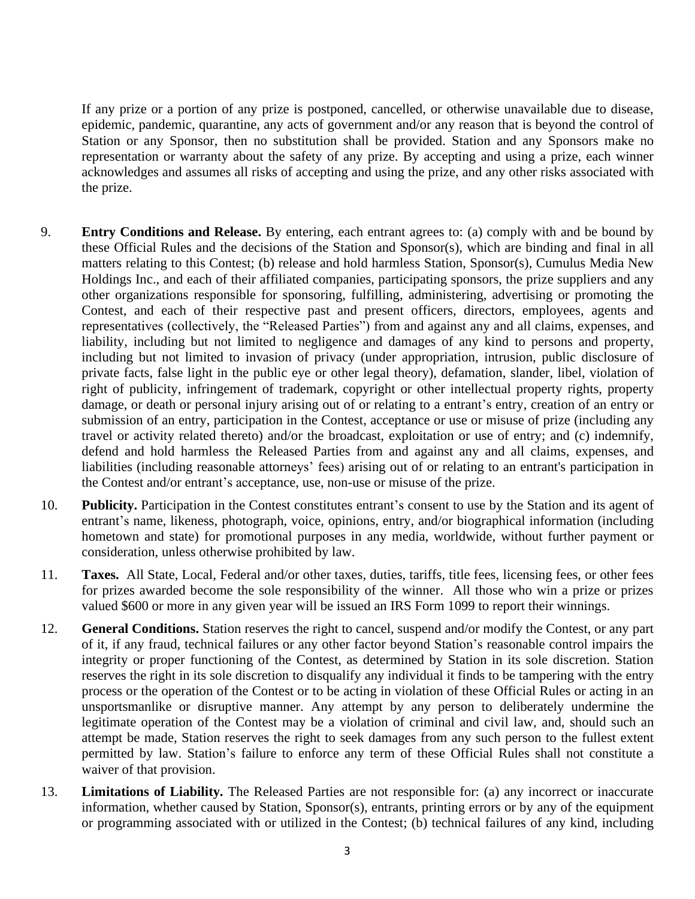If any prize or a portion of any prize is postponed, cancelled, or otherwise unavailable due to disease, epidemic, pandemic, quarantine, any acts of government and/or any reason that is beyond the control of Station or any Sponsor, then no substitution shall be provided. Station and any Sponsors make no representation or warranty about the safety of any prize. By accepting and using a prize, each winner acknowledges and assumes all risks of accepting and using the prize, and any other risks associated with the prize.

- 9. **Entry Conditions and Release.** By entering, each entrant agrees to: (a) comply with and be bound by these Official Rules and the decisions of the Station and Sponsor(s), which are binding and final in all matters relating to this Contest; (b) release and hold harmless Station, Sponsor(s), Cumulus Media New Holdings Inc., and each of their affiliated companies, participating sponsors, the prize suppliers and any other organizations responsible for sponsoring, fulfilling, administering, advertising or promoting the Contest, and each of their respective past and present officers, directors, employees, agents and representatives (collectively, the "Released Parties") from and against any and all claims, expenses, and liability, including but not limited to negligence and damages of any kind to persons and property, including but not limited to invasion of privacy (under appropriation, intrusion, public disclosure of private facts, false light in the public eye or other legal theory), defamation, slander, libel, violation of right of publicity, infringement of trademark, copyright or other intellectual property rights, property damage, or death or personal injury arising out of or relating to a entrant's entry, creation of an entry or submission of an entry, participation in the Contest, acceptance or use or misuse of prize (including any travel or activity related thereto) and/or the broadcast, exploitation or use of entry; and (c) indemnify, defend and hold harmless the Released Parties from and against any and all claims, expenses, and liabilities (including reasonable attorneys' fees) arising out of or relating to an entrant's participation in the Contest and/or entrant's acceptance, use, non-use or misuse of the prize.
- 10. **Publicity.** Participation in the Contest constitutes entrant's consent to use by the Station and its agent of entrant's name, likeness, photograph, voice, opinions, entry, and/or biographical information (including hometown and state) for promotional purposes in any media, worldwide, without further payment or consideration, unless otherwise prohibited by law.
- 11. **Taxes.** All State, Local, Federal and/or other taxes, duties, tariffs, title fees, licensing fees, or other fees for prizes awarded become the sole responsibility of the winner. All those who win a prize or prizes valued \$600 or more in any given year will be issued an IRS Form 1099 to report their winnings.
- 12. **General Conditions.** Station reserves the right to cancel, suspend and/or modify the Contest, or any part of it, if any fraud, technical failures or any other factor beyond Station's reasonable control impairs the integrity or proper functioning of the Contest, as determined by Station in its sole discretion. Station reserves the right in its sole discretion to disqualify any individual it finds to be tampering with the entry process or the operation of the Contest or to be acting in violation of these Official Rules or acting in an unsportsmanlike or disruptive manner. Any attempt by any person to deliberately undermine the legitimate operation of the Contest may be a violation of criminal and civil law, and, should such an attempt be made, Station reserves the right to seek damages from any such person to the fullest extent permitted by law. Station's failure to enforce any term of these Official Rules shall not constitute a waiver of that provision.
- 13. **Limitations of Liability.** The Released Parties are not responsible for: (a) any incorrect or inaccurate information, whether caused by Station, Sponsor(s), entrants, printing errors or by any of the equipment or programming associated with or utilized in the Contest; (b) technical failures of any kind, including